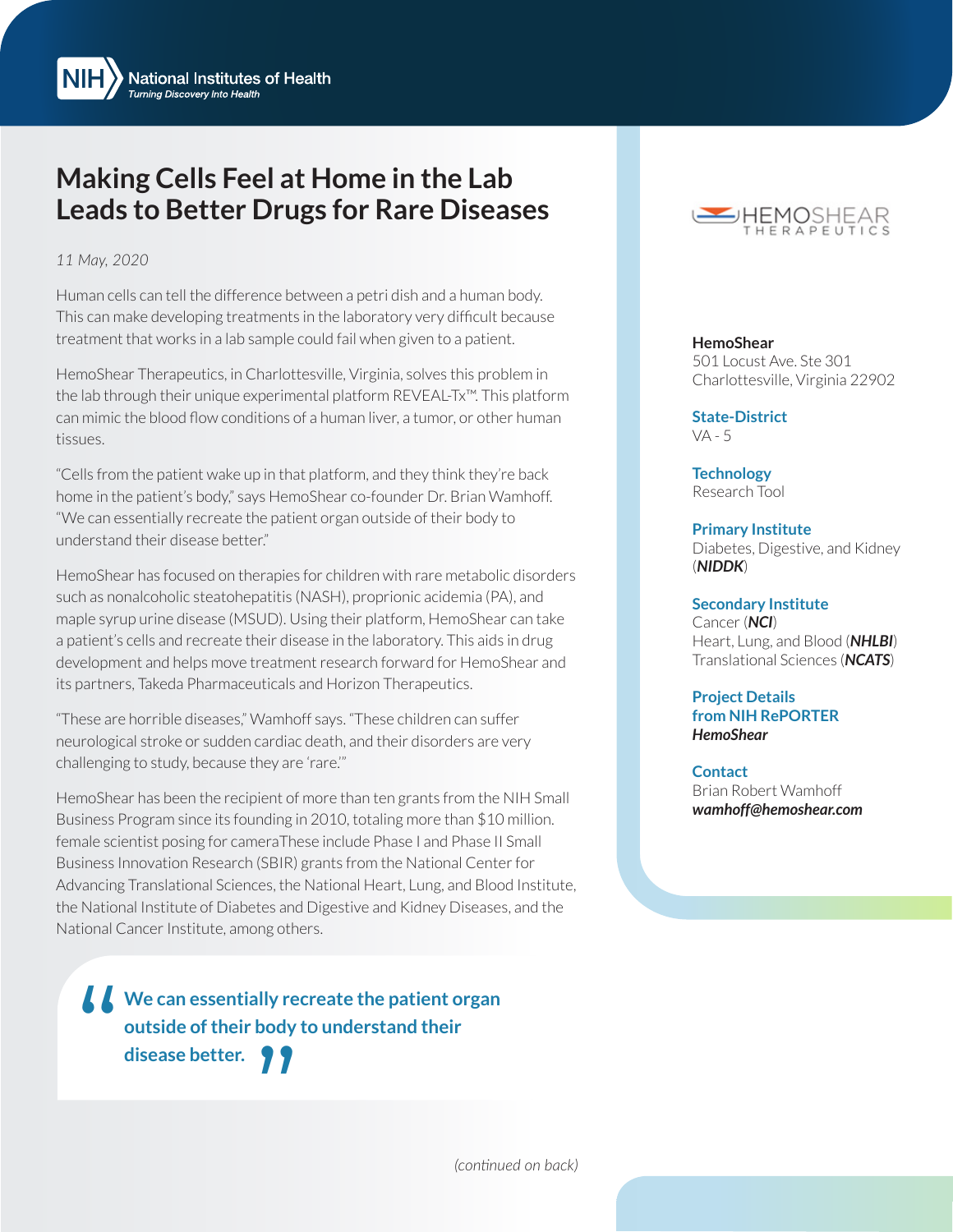$NIH$ **National Institutes of Health Turning Discovery Into Health** 

## **Making Cells Feel at Home in the Lab Leads to Better Drugs for Rare Diseases**

## *11 May, 2020*

Human cells can tell the difference between a petri dish and a human body. This can make developing treatments in the laboratory very difficult because treatment that works in a lab sample could fail when given to a patient.

HemoShear Therapeutics, in Charlottesville, Virginia, solves this problem in the lab through their unique experimental platform REVEAL-Tx™. This platform can mimic the blood flow conditions of a human liver, a tumor, or other human tissues.

"Cells from the patient wake up in that platform, and they think they're back home in the patient's body," says HemoShear co-founder Dr. Brian Wamhoff. "We can essentially recreate the patient organ outside of their body to understand their disease better."

HemoShear has focused on therapies for children with rare metabolic disorders such as nonalcoholic steatohepatitis (NASH), proprionic acidemia (PA), and maple syrup urine disease (MSUD). Using their platform, HemoShear can take a patient's cells and recreate their disease in the laboratory. This aids in drug development and helps move treatment research forward for HemoShear and its partners, Takeda Pharmaceuticals and Horizon Therapeutics.

"These are horrible diseases," Wamhoff says. "These children can suffer neurological stroke or sudden cardiac death, and their disorders are very challenging to study, because they are 'rare.'"

HemoShear has been the recipient of more than ten grants from the NIH Small Business Program since its founding in 2010, totaling more than \$10 million. female scientist posing for cameraThese include Phase I and Phase II Small Business Innovation Research (SBIR) grants from the National Center for Advancing Translational Sciences, the National Heart, Lung, and Blood Institute, the National Institute of Diabetes and Digestive and Kidney Diseases, and the National Cancer Institute, among others.

**SECONDER WE can essentially recreate the patient organ outside of their body to understand their disease better. outside of their body to understand their**  We can essentially re<br>outside of their body<br>disease better.



**HemoShear** 501 Locust Ave. Ste 301 Charlottesville, Virginia 22902

**State-District**  VA - 5

**Technology**  Research Tool

**Primary Institute**  Diabetes, Digestive, and Kidney (*[NIDDK](http://www.niddk.nih.gov/)*)

**Secondary Institute**  Cancer (*[NCI](http://www.nci.nih.gov/)*) Heart, Lung, and Blood (*[NHLBI](http://www.nhlbi.nih.gov/)*) Translational Sciences (*[NCATS](http://ncats.nih.gov/)*)

**Project Details from NIH RePORTER** *[HemoShear](https://projectreporter.nih.gov/Reporter_Viewsh.cfm?sl=15EECC0C488EC7D27598B8961CAA4A01A2FFCEB861BF)*

**Contact** Brian Robert Wamhoff *[wamhoff@hemoshear.com](mailto:wamhoff%40hemoshear.com?subject=)*